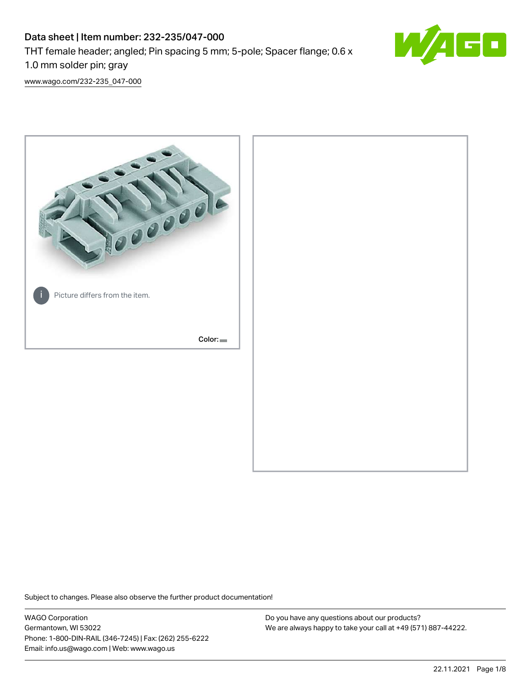# Data sheet | Item number: 232-235/047-000 THT female header; angled; Pin spacing 5 mm; 5-pole; Spacer flange; 0.6 x 1.0 mm solder pin; gray



[www.wago.com/232-235\\_047-000](http://www.wago.com/232-235_047-000)



Subject to changes. Please also observe the further product documentation!

WAGO Corporation Germantown, WI 53022 Phone: 1-800-DIN-RAIL (346-7245) | Fax: (262) 255-6222 Email: info.us@wago.com | Web: www.wago.us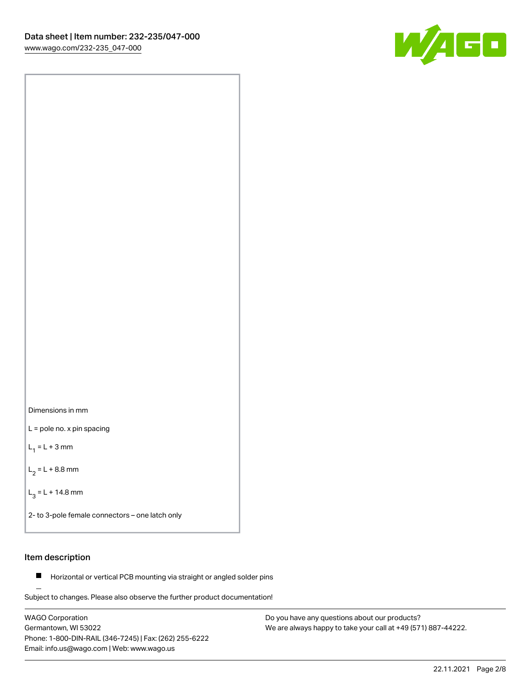

Dimensions in mm

L = pole no. x pin spacing

 $L_1 = L + 3$  mm

 $L_2 = L + 8.8$  mm

 $L_3 = L + 14.8$  mm

2- to 3-pole female connectors – one latch only

## Item description

**Horizontal or vertical PCB mounting via straight or angled solder pins** 

Subject to changes. Please also observe the further product documentation! For board-to-board and board-to-wire connections

WAGO Corporation Germantown, WI 53022 Phone: 1-800-DIN-RAIL (346-7245) | Fax: (262) 255-6222 Email: info.us@wago.com | Web: www.wago.us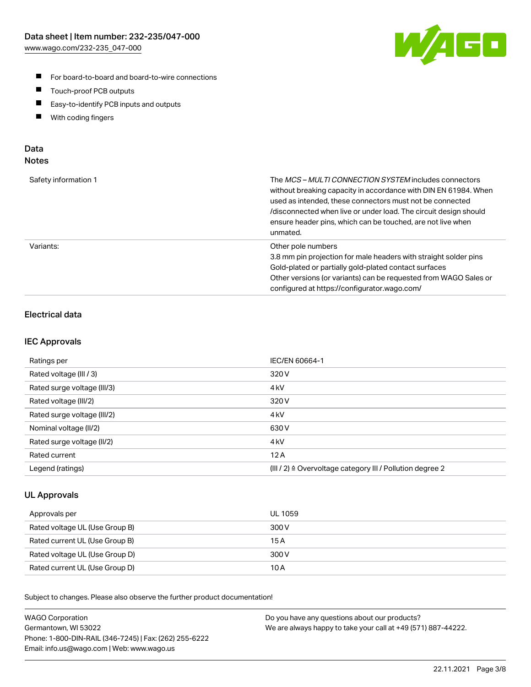

- For board-to-board and board-to-wire connections
- $\blacksquare$ Touch-proof PCB outputs
- $\blacksquare$ Easy-to-identify PCB inputs and outputs
- $\blacksquare$ With coding fingers

### Data **Notes**

| Safety information 1 | The <i>MCS – MULTI CONNECTION SYSTEM</i> includes connectors<br>without breaking capacity in accordance with DIN EN 61984. When<br>used as intended, these connectors must not be connected<br>/disconnected when live or under load. The circuit design should<br>ensure header pins, which can be touched, are not live when<br>unmated. |
|----------------------|--------------------------------------------------------------------------------------------------------------------------------------------------------------------------------------------------------------------------------------------------------------------------------------------------------------------------------------------|
| Variants:            | Other pole numbers<br>3.8 mm pin projection for male headers with straight solder pins<br>Gold-plated or partially gold-plated contact surfaces<br>Other versions (or variants) can be requested from WAGO Sales or<br>configured at https://configurator.wago.com/                                                                        |

# Electrical data

### IEC Approvals

| Ratings per                 | IEC/EN 60664-1                                                        |
|-----------------------------|-----------------------------------------------------------------------|
| Rated voltage (III / 3)     | 320 V                                                                 |
| Rated surge voltage (III/3) | 4 <sub>k</sub> V                                                      |
| Rated voltage (III/2)       | 320 V                                                                 |
| Rated surge voltage (III/2) | 4 <sub>k</sub> V                                                      |
| Nominal voltage (II/2)      | 630 V                                                                 |
| Rated surge voltage (II/2)  | 4 <sub>kV</sub>                                                       |
| Rated current               | 12A                                                                   |
| Legend (ratings)            | $(III / 2)$ $\triangle$ Overvoltage category III / Pollution degree 2 |

### UL Approvals

| Approvals per                  | UL 1059 |
|--------------------------------|---------|
| Rated voltage UL (Use Group B) | 300 V   |
| Rated current UL (Use Group B) | 15 A    |
| Rated voltage UL (Use Group D) | 300 V   |
| Rated current UL (Use Group D) | 10 A    |

Subject to changes. Please also observe the further product documentation!

| <b>WAGO Corporation</b>                                | Do you have any questions about our products?                 |
|--------------------------------------------------------|---------------------------------------------------------------|
| Germantown, WI 53022                                   | We are always happy to take your call at +49 (571) 887-44222. |
| Phone: 1-800-DIN-RAIL (346-7245)   Fax: (262) 255-6222 |                                                               |
| Email: info.us@wago.com   Web: www.wago.us             |                                                               |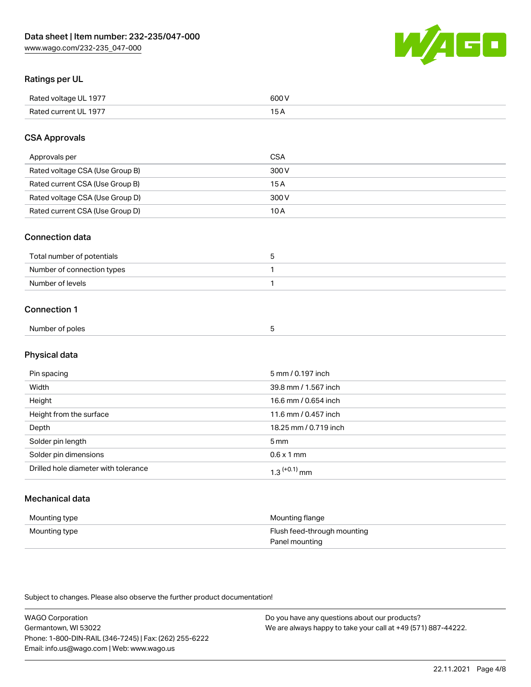

# Ratings per UL

| Rated voltage UL 1977 | soo v<br>วบบ<br>. |
|-----------------------|-------------------|
| Rated current UL 1977 | --                |
|                       | . J <i>r</i>      |

## CSA Approvals

| Approvals per                   | CSA   |
|---------------------------------|-------|
| Rated voltage CSA (Use Group B) | 300 V |
| Rated current CSA (Use Group B) | 15 A  |
| Rated voltage CSA (Use Group D) | 300 V |
| Rated current CSA (Use Group D) | 10 A  |

#### Connection data

| Total number of potentials |  |
|----------------------------|--|
| Number of connection types |  |
| Number of levels           |  |

#### Connection 1

| Number of poles |  |  |
|-----------------|--|--|
|                 |  |  |

# Physical data

| Pin spacing                          | 5 mm / 0.197 inch     |
|--------------------------------------|-----------------------|
| Width                                | 39.8 mm / 1.567 inch  |
| Height                               | 16.6 mm / 0.654 inch  |
| Height from the surface              | 11.6 mm / 0.457 inch  |
| Depth                                | 18.25 mm / 0.719 inch |
| Solder pin length                    | 5 <sub>mm</sub>       |
| Solder pin dimensions                | $0.6 \times 1$ mm     |
| Drilled hole diameter with tolerance | $1.3$ $(+0.1)$ mm     |

# Mechanical data

| Mounting type | Mounting flange             |
|---------------|-----------------------------|
| Mounting type | Flush feed-through mounting |
|               | Panel mounting              |

Subject to changes. Please also observe the further product documentation!

| <b>WAGO Corporation</b>                                | Do you have any questions about our products?                 |
|--------------------------------------------------------|---------------------------------------------------------------|
| Germantown, WI 53022                                   | We are always happy to take your call at +49 (571) 887-44222. |
| Phone: 1-800-DIN-RAIL (346-7245)   Fax: (262) 255-6222 |                                                               |
| Email: info.us@wago.com   Web: www.wago.us             |                                                               |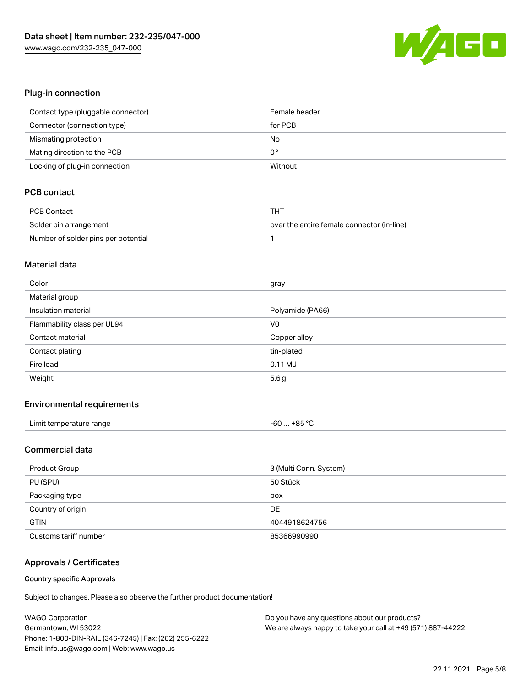

## Plug-in connection

| Contact type (pluggable connector) | Female header |
|------------------------------------|---------------|
| Connector (connection type)        | for PCB       |
| Mismating protection               | No            |
| Mating direction to the PCB        | 0°            |
| Locking of plug-in connection      | Without       |

# PCB contact

| PCB Contact                         | тнт                                        |
|-------------------------------------|--------------------------------------------|
| Solder pin arrangement              | over the entire female connector (in-line) |
| Number of solder pins per potential |                                            |

#### Material data

| Color                       | gray             |
|-----------------------------|------------------|
| Material group              |                  |
| Insulation material         | Polyamide (PA66) |
| Flammability class per UL94 | V <sub>0</sub>   |
| Contact material            | Copper alloy     |
| Contact plating             | tin-plated       |
| Fire load                   | $0.11$ MJ        |
| Weight                      | 5.6g             |

#### Environmental requirements

| Limit temperature range | $-60+85 °C$ |
|-------------------------|-------------|
|-------------------------|-------------|

## Commercial data

| Product Group         | 3 (Multi Conn. System) |
|-----------------------|------------------------|
| PU (SPU)              | 50 Stück               |
| Packaging type        | box                    |
| Country of origin     | DE                     |
| <b>GTIN</b>           | 4044918624756          |
| Customs tariff number | 85366990990            |

#### Approvals / Certificates

#### Country specific Approvals

Subject to changes. Please also observe the further product documentation!

| <b>WAGO Corporation</b>                                | Do you have any questions about our products?                 |
|--------------------------------------------------------|---------------------------------------------------------------|
| Germantown, WI 53022                                   | We are always happy to take your call at +49 (571) 887-44222. |
| Phone: 1-800-DIN-RAIL (346-7245)   Fax: (262) 255-6222 |                                                               |
| Email: info.us@wago.com   Web: www.wago.us             |                                                               |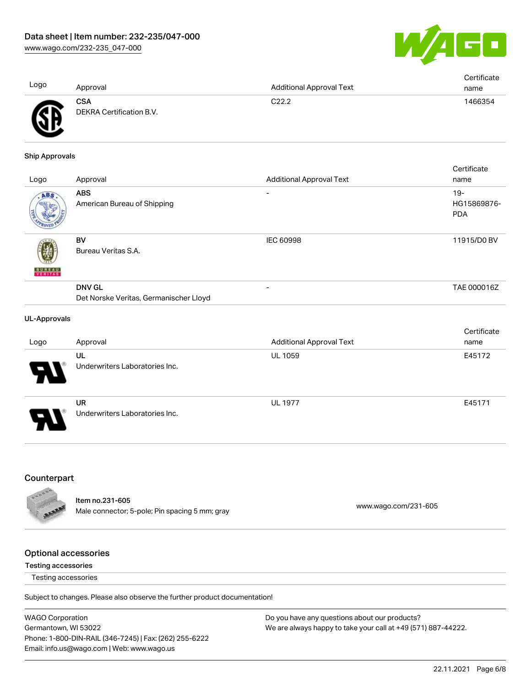

| Logo | Approval                        | <b>Additional Approval Text</b> | Certificate<br>name |
|------|---------------------------------|---------------------------------|---------------------|
| A    | CSA<br>DEKRA Certification B.V. | C22.2                           | 1466354             |

#### Ship Approvals

ЧV

| Logo                     | Approval                                                | <b>Additional Approval Text</b> | Certificate<br>name                 |
|--------------------------|---------------------------------------------------------|---------------------------------|-------------------------------------|
| ABS                      | <b>ABS</b><br>American Bureau of Shipping               |                                 | $19 -$<br>HG15869876-<br><b>PDA</b> |
| <b>BUREAU</b><br>VERITAS | BV<br>Bureau Veritas S.A.                               | <b>IEC 60998</b>                | 11915/D0 BV                         |
|                          | <b>DNV GL</b><br>Det Norske Veritas, Germanischer Lloyd |                                 | TAE 000016Z                         |
|                          |                                                         |                                 |                                     |

#### UL-Approvals

| Logo                  | Approval                                    | <b>Additional Approval Text</b> | Certificate<br>name |
|-----------------------|---------------------------------------------|---------------------------------|---------------------|
| А.                    | UL<br>Underwriters Laboratories Inc.        | <b>UL 1059</b>                  | E45172              |
| $\boldsymbol{\theta}$ | <b>UR</b><br>Underwriters Laboratories Inc. | <b>UL 1977</b>                  | E45171              |

#### **Counterpart**



Item no.231-605 nech no.<br>
Male connector; 5-pole; Pin spacing 5 mm; gray [www.wago.com/231-605](https://www.wago.com/231-605)

#### Optional accessories

#### Testing accessories

Testing accessories

Subject to changes. Please also observe the further product documentation!

WAGO Corporation Germantown, WI 53022 Phone: 1-800-DIN-RAIL (346-7245) | Fax: (262) 255-6222 Email: info.us@wago.com | Web: www.wago.us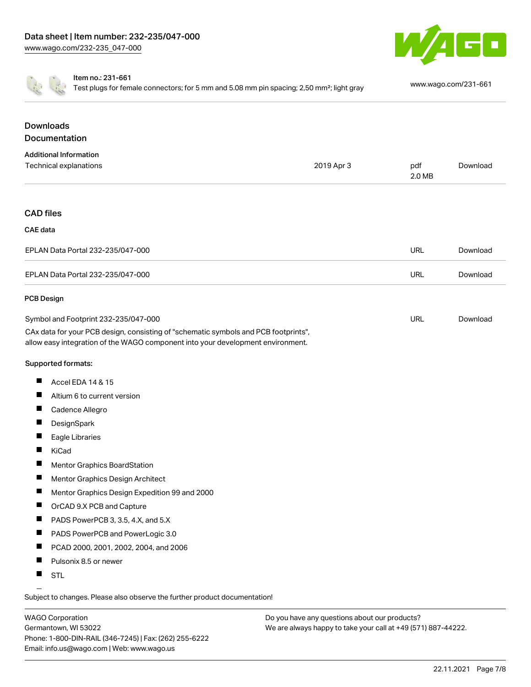



Item no.: 231-661

Test plugs for female connectors; for 5 mm and 5.08 mm pin spacing; 2,50 mm²; light gray [www.wago.com/231-661](http://www.wago.com/231-661)

# **Downloads Documentation**

| <b>Additional Information</b>                                                                                                                                          |            |               |          |
|------------------------------------------------------------------------------------------------------------------------------------------------------------------------|------------|---------------|----------|
| Technical explanations                                                                                                                                                 | 2019 Apr 3 | pdf<br>2.0 MB | Download |
|                                                                                                                                                                        |            |               |          |
| <b>CAD files</b>                                                                                                                                                       |            |               |          |
| <b>CAE</b> data                                                                                                                                                        |            |               |          |
| EPLAN Data Portal 232-235/047-000                                                                                                                                      |            | URL           | Download |
| EPLAN Data Portal 232-235/047-000                                                                                                                                      |            | URL           | Download |
| <b>PCB Design</b>                                                                                                                                                      |            |               |          |
| Symbol and Footprint 232-235/047-000                                                                                                                                   |            | URL           | Download |
| CAx data for your PCB design, consisting of "schematic symbols and PCB footprints",<br>allow easy integration of the WAGO component into your development environment. |            |               |          |
| Supported formats:                                                                                                                                                     |            |               |          |
| Accel EDA 14 & 15<br>ш                                                                                                                                                 |            |               |          |
| ш<br>Altium 6 to current version                                                                                                                                       |            |               |          |

- $\blacksquare$ Cadence Allegro
- $\blacksquare$ **DesignSpark**
- $\blacksquare$ Eagle Libraries
- $\blacksquare$ KiCad
- $\blacksquare$ Mentor Graphics BoardStation
- $\blacksquare$ Mentor Graphics Design Architect
- $\blacksquare$ Mentor Graphics Design Expedition 99 and 2000
- OrCAD 9.X PCB and Capture П
- П PADS PowerPCB 3, 3.5, 4.X, and 5.X
- $\blacksquare$ PADS PowerPCB and PowerLogic 3.0
- $\blacksquare$ PCAD 2000, 2001, 2002, 2004, and 2006
- $\blacksquare$ Pulsonix 8.5 or newer
- $\blacksquare$ STL

Subject to changes. Please also observe the further product documentation!

WAGO Corporation Germantown, WI 53022 Phone: 1-800-DIN-RAIL (346-7245) | Fax: (262) 255-6222 Email: info.us@wago.com | Web: www.wago.us